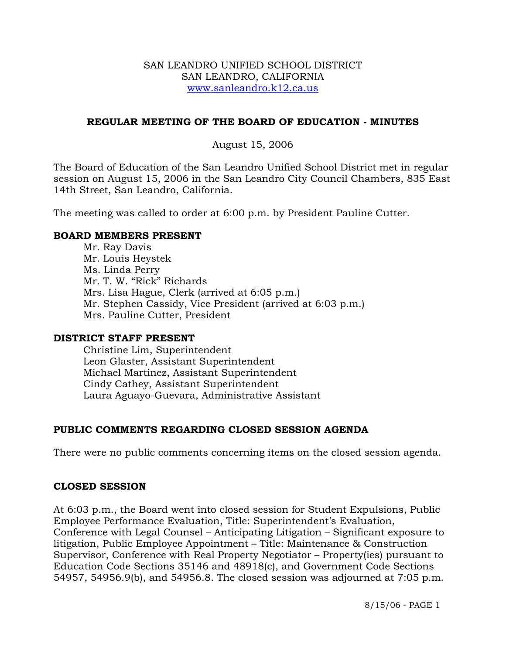### SAN LEANDRO UNIFIED SCHOOL DISTRICT SAN LEANDRO, CALIFORNIA www.sanleandro.k12.ca.us

## **REGULAR MEETING OF THE BOARD OF EDUCATION - MINUTES**

### August 15, 2006

The Board of Education of the San Leandro Unified School District met in regular session on August 15, 2006 in the San Leandro City Council Chambers, 835 East 14th Street, San Leandro, California.

The meeting was called to order at 6:00 p.m. by President Pauline Cutter.

#### **BOARD MEMBERS PRESENT**

Mr. Ray Davis Mr. Louis Heystek Ms. Linda Perry Mr. T. W. "Rick" Richards Mrs. Lisa Hague, Clerk (arrived at 6:05 p.m.) Mr. Stephen Cassidy, Vice President (arrived at 6:03 p.m.) Mrs. Pauline Cutter, President

#### **DISTRICT STAFF PRESENT**

Christine Lim, Superintendent Leon Glaster, Assistant Superintendent Michael Martinez, Assistant Superintendent Cindy Cathey, Assistant Superintendent Laura Aguayo-Guevara, Administrative Assistant

## **PUBLIC COMMENTS REGARDING CLOSED SESSION AGENDA**

There were no public comments concerning items on the closed session agenda.

#### **CLOSED SESSION**

At 6:03 p.m., the Board went into closed session for Student Expulsions, Public Employee Performance Evaluation, Title: Superintendent's Evaluation, Conference with Legal Counsel – Anticipating Litigation – Significant exposure to litigation, Public Employee Appointment – Title: Maintenance & Construction Supervisor, Conference with Real Property Negotiator – Property(ies) pursuant to Education Code Sections 35146 and 48918(c), and Government Code Sections 54957, 54956.9(b), and 54956.8. The closed session was adjourned at 7:05 p.m.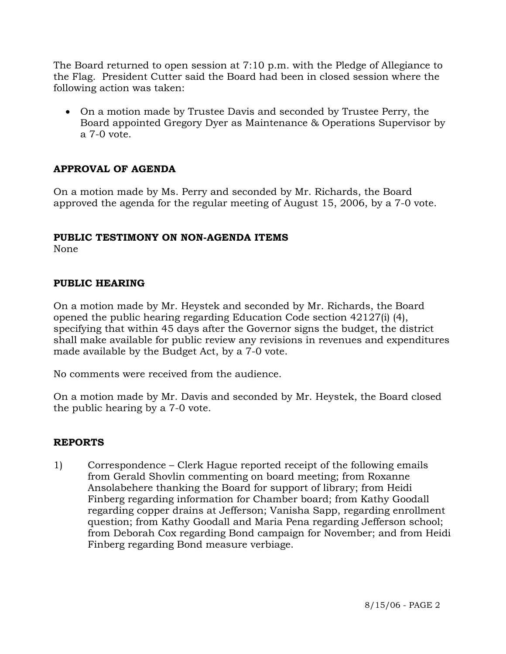The Board returned to open session at 7:10 p.m. with the Pledge of Allegiance to the Flag. President Cutter said the Board had been in closed session where the following action was taken:

• On a motion made by Trustee Davis and seconded by Trustee Perry, the Board appointed Gregory Dyer as Maintenance & Operations Supervisor by a 7-0 vote.

# **APPROVAL OF AGENDA**

On a motion made by Ms. Perry and seconded by Mr. Richards, the Board approved the agenda for the regular meeting of August 15, 2006, by a 7-0 vote.

# **PUBLIC TESTIMONY ON NON-AGENDA ITEMS**

None

# **PUBLIC HEARING**

On a motion made by Mr. Heystek and seconded by Mr. Richards, the Board opened the public hearing regarding Education Code section 42127(i) (4), specifying that within 45 days after the Governor signs the budget, the district shall make available for public review any revisions in revenues and expenditures made available by the Budget Act, by a 7-0 vote.

No comments were received from the audience.

On a motion made by Mr. Davis and seconded by Mr. Heystek, the Board closed the public hearing by a 7-0 vote.

## **REPORTS**

1) Correspondence – Clerk Hague reported receipt of the following emails from Gerald Shovlin commenting on board meeting; from Roxanne Ansolabehere thanking the Board for support of library; from Heidi Finberg regarding information for Chamber board; from Kathy Goodall regarding copper drains at Jefferson; Vanisha Sapp, regarding enrollment question; from Kathy Goodall and Maria Pena regarding Jefferson school; from Deborah Cox regarding Bond campaign for November; and from Heidi Finberg regarding Bond measure verbiage.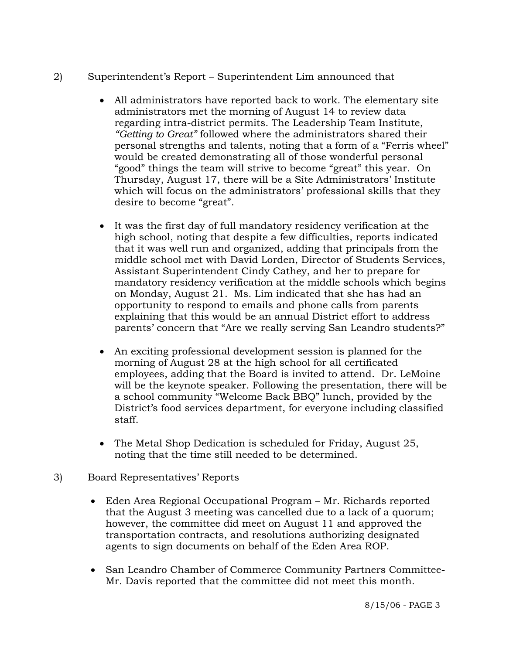# 2) Superintendent's Report – Superintendent Lim announced that

- All administrators have reported back to work. The elementary site administrators met the morning of August 14 to review data regarding intra-district permits. The Leadership Team Institute, *"Getting to Great"* followed where the administrators shared their personal strengths and talents, noting that a form of a "Ferris wheel" would be created demonstrating all of those wonderful personal "good" things the team will strive to become "great" this year. On Thursday, August 17, there will be a Site Administrators' Institute which will focus on the administrators' professional skills that they desire to become "great".
- It was the first day of full mandatory residency verification at the high school, noting that despite a few difficulties, reports indicated that it was well run and organized, adding that principals from the middle school met with David Lorden, Director of Students Services, Assistant Superintendent Cindy Cathey, and her to prepare for mandatory residency verification at the middle schools which begins on Monday, August 21. Ms. Lim indicated that she has had an opportunity to respond to emails and phone calls from parents explaining that this would be an annual District effort to address parents' concern that "Are we really serving San Leandro students?"
- An exciting professional development session is planned for the morning of August 28 at the high school for all certificated employees, adding that the Board is invited to attend. Dr. LeMoine will be the keynote speaker. Following the presentation, there will be a school community "Welcome Back BBQ" lunch, provided by the District's food services department, for everyone including classified staff.
- The Metal Shop Dedication is scheduled for Friday, August 25, noting that the time still needed to be determined.
- 3) Board Representatives' Reports
	- Eden Area Regional Occupational Program Mr. Richards reported that the August 3 meeting was cancelled due to a lack of a quorum; however, the committee did meet on August 11 and approved the transportation contracts, and resolutions authorizing designated agents to sign documents on behalf of the Eden Area ROP.
	- San Leandro Chamber of Commerce Community Partners Committee-Mr. Davis reported that the committee did not meet this month.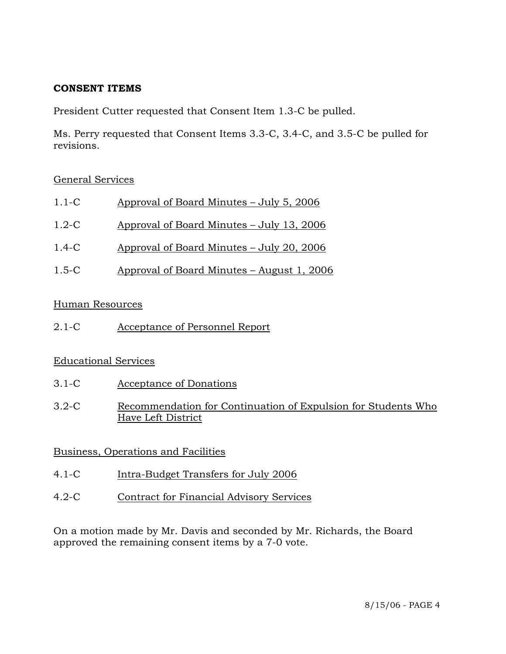## **CONSENT ITEMS**

President Cutter requested that Consent Item 1.3-C be pulled.

Ms. Perry requested that Consent Items 3.3-C, 3.4-C, and 3.5-C be pulled for revisions.

## General Services

| Approval of Board Minutes – July 5, 2006 |
|------------------------------------------|
|------------------------------------------|

- 1.2-C Approval of Board Minutes July 13, 2006
- 1.4-C Approval of Board Minutes July 20, 2006
- 1.5-C Approval of Board Minutes August 1, 2006

## Human Resources

2.1-C Acceptance of Personnel Report

## Educational Services

- 3.1-C Acceptance of Donations
- 3.2-C Recommendation for Continuation of Expulsion for Students Who Have Left District

# Business, Operations and Facilities

- 4.1-C Intra-Budget Transfers for July 2006
- 4.2-C Contract for Financial Advisory Services

On a motion made by Mr. Davis and seconded by Mr. Richards, the Board approved the remaining consent items by a 7-0 vote.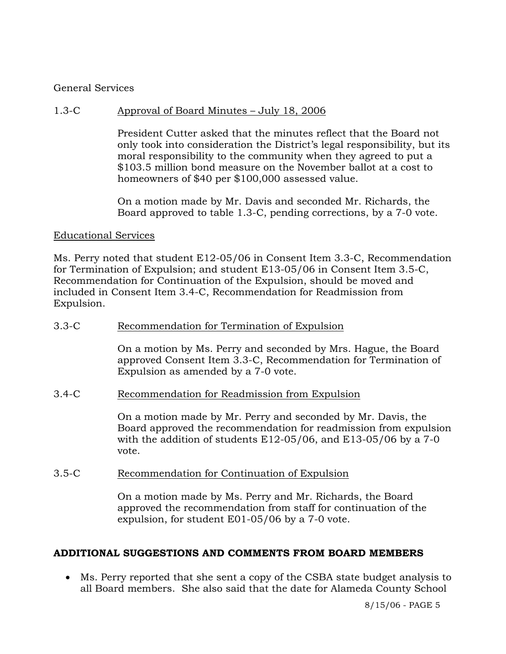### General Services

### 1.3-C Approval of Board Minutes – July 18, 2006

President Cutter asked that the minutes reflect that the Board not only took into consideration the District's legal responsibility, but its moral responsibility to the community when they agreed to put a \$103.5 million bond measure on the November ballot at a cost to homeowners of \$40 per \$100,000 assessed value.

On a motion made by Mr. Davis and seconded Mr. Richards, the Board approved to table 1.3-C, pending corrections, by a 7-0 vote.

#### Educational Services

Ms. Perry noted that student E12-05/06 in Consent Item 3.3-C, Recommendation for Termination of Expulsion; and student E13-05/06 in Consent Item 3.5-C, Recommendation for Continuation of the Expulsion, should be moved and included in Consent Item 3.4-C, Recommendation for Readmission from Expulsion.

#### 3.3-C Recommendation for Termination of Expulsion

On a motion by Ms. Perry and seconded by Mrs. Hague, the Board approved Consent Item 3.3-C, Recommendation for Termination of Expulsion as amended by a 7-0 vote.

#### 3.4-C Recommendation for Readmission from Expulsion

On a motion made by Mr. Perry and seconded by Mr. Davis, the Board approved the recommendation for readmission from expulsion with the addition of students E12-05/06, and E13-05/06 by a 7-0 vote.

#### 3.5-C Recommendation for Continuation of Expulsion

On a motion made by Ms. Perry and Mr. Richards, the Board approved the recommendation from staff for continuation of the expulsion, for student E01-05/06 by a 7-0 vote.

#### **ADDITIONAL SUGGESTIONS AND COMMENTS FROM BOARD MEMBERS**

• Ms. Perry reported that she sent a copy of the CSBA state budget analysis to all Board members. She also said that the date for Alameda County School

8/15/06 - PAGE 5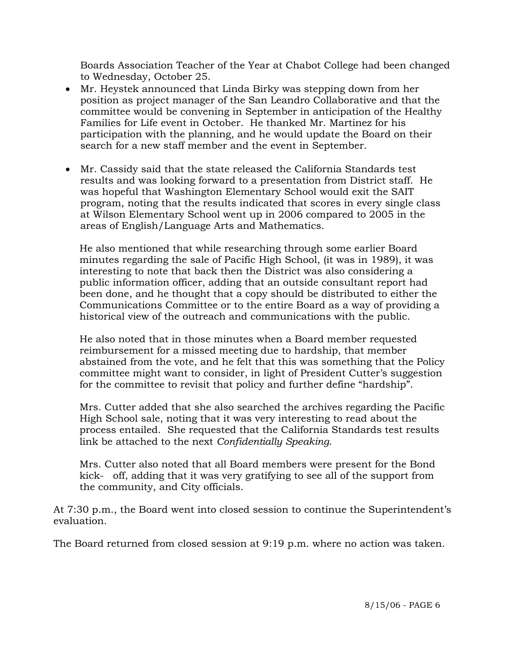Boards Association Teacher of the Year at Chabot College had been changed to Wednesday, October 25.

- Mr. Heystek announced that Linda Birky was stepping down from her position as project manager of the San Leandro Collaborative and that the committee would be convening in September in anticipation of the Healthy Families for Life event in October. He thanked Mr. Martinez for his participation with the planning, and he would update the Board on their search for a new staff member and the event in September.
- Mr. Cassidy said that the state released the California Standards test results and was looking forward to a presentation from District staff. He was hopeful that Washington Elementary School would exit the SAIT program, noting that the results indicated that scores in every single class at Wilson Elementary School went up in 2006 compared to 2005 in the areas of English/Language Arts and Mathematics.

 He also mentioned that while researching through some earlier Board minutes regarding the sale of Pacific High School, (it was in 1989), it was interesting to note that back then the District was also considering a public information officer, adding that an outside consultant report had been done, and he thought that a copy should be distributed to either the Communications Committee or to the entire Board as a way of providing a historical view of the outreach and communications with the public.

 He also noted that in those minutes when a Board member requested reimbursement for a missed meeting due to hardship, that member abstained from the vote, and he felt that this was something that the Policy committee might want to consider, in light of President Cutter's suggestion for the committee to revisit that policy and further define "hardship".

 Mrs. Cutter added that she also searched the archives regarding the Pacific High School sale, noting that it was very interesting to read about the process entailed. She requested that the California Standards test results link be attached to the next *Confidentially Speaking*.

 Mrs. Cutter also noted that all Board members were present for the Bond kick- off, adding that it was very gratifying to see all of the support from the community, and City officials.

At 7:30 p.m., the Board went into closed session to continue the Superintendent's evaluation.

The Board returned from closed session at 9:19 p.m. where no action was taken.